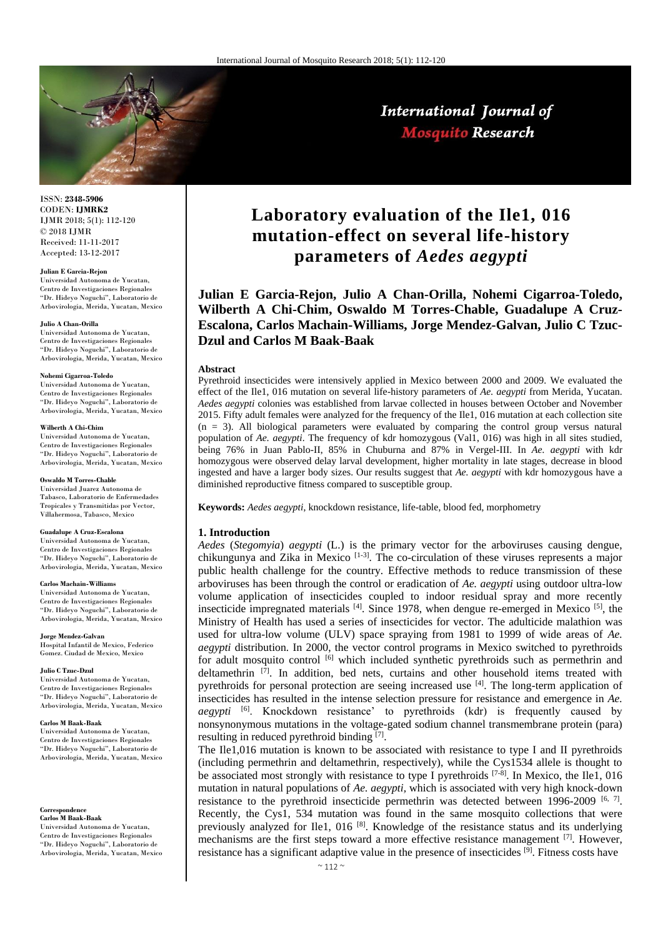

# International Journal of **Mosquito Research**

ISSN: **2348-5906** CODEN: **IJMRK2** IJMR 2018; 5(1): 112-120 © 2018 IJMR Received: 11-11-2017 Accepted: 13-12-2017

#### **Julian E Garcia-Rejon**

Universidad Autonoma de Yucatan, Centro de Investigaciones Regionales "Dr. Hideyo Noguchi", Laboratorio de Arbovirologia, Merida, Yucatan, Mexico

#### **Julio A Chan-Orilla**

Universidad Autonoma de Yucatan, Centro de Investigaciones Regionales "Dr. Hideyo Noguchi", Laboratorio de Arbovirologia, Merida, Yucatan, Mexico

#### **Nohemi Cigarroa-Toledo**

Universidad Autonoma de Yucatan, Centro de Investigaciones Regionales "Dr. Hideyo Noguchi", Laboratorio de Arbovirologia, Merida, Yucatan, Mexico

#### **Wilberth A Chi-Chim**

Universidad Autonoma de Yucatan, Centro de Investigaciones Regionales "Dr. Hideyo Noguchi", Laboratorio de Arbovirologia, Merida, Yucatan, Mexico

#### **Oswaldo M Torres-Chable**

Universidad Juarez Autonoma de Tabasco, Laboratorio de Enfermedades Tropicales y Transmitidas por Vector, Villahermosa, Tabasco, Mexico

#### **Guadalupe A Cruz-Escalona**

Universidad Autonoma de Yucatan, Centro de Investigaciones Regionales "Dr. Hideyo Noguchi", Laboratorio de Arbovirologia, Merida, Yucatan, Mexico

#### **Carlos Machain-Williams**

Universidad Autonoma de Yucatan, Centro de Investigaciones Regionales "Dr. Hideyo Noguchi", Laboratorio de Arbovirologia, Merida, Yucatan, Mexico

**Jorge Mendez-Galvan** Hospital Infantil de Mexico, Federico Gomez. Ciudad de Mexico, Mexico

#### **Julio C Tzuc-Dzul**

Universidad Autonoma de Yucatan, Centro de Investigaciones Regionales "Dr. Hideyo Noguchi", Laboratorio de Arbovirologia, Merida, Yucatan, Mexico

#### **Carlos M Baak-Baak**

Universidad Autonoma de Yucatan, Centro de Investigaciones Regionales "Dr. Hideyo Noguchi", Laboratorio de Arbovirologia, Merida, Yucatan, Mexico

**Correspondence Carlos M Baak-Baak**

Universidad Autonoma de Yucatan, Centro de Investigaciones Regionales "Dr. Hideyo Noguchi", Laboratorio de Arbovirologia, Merida, Yucatan, Mexico

# **Laboratory evaluation of the Ile1, 016 mutation-effect on several life-history parameters of** *Aedes aegypti*

**Julian E Garcia-Rejon, Julio A Chan-Orilla, Nohemi Cigarroa-Toledo, Wilberth A Chi-Chim, Oswaldo M Torres-Chable, Guadalupe A Cruz-Escalona, Carlos Machain-Williams, Jorge Mendez-Galvan, Julio C Tzuc-Dzul and Carlos M Baak-Baak**

#### **Abstract**

Pyrethroid insecticides were intensively applied in Mexico between 2000 and 2009. We evaluated the effect of the Ile1, 016 mutation on several life-history parameters of *Ae. aegypti* from Merida, Yucatan. *Aedes aegypti* colonies was established from larvae collected in houses between October and November 2015. Fifty adult females were analyzed for the frequency of the Ile1, 016 mutation at each collection site  $(n = 3)$ . All biological parameters were evaluated by comparing the control group versus natural population of *Ae. aegypti*. The frequency of kdr homozygous (Val1, 016) was high in all sites studied, being 76% in Juan Pablo-II, 85% in Chuburna and 87% in Vergel-III. In *Ae. aegypti* with kdr homozygous were observed delay larval development, higher mortality in late stages, decrease in blood ingested and have a larger body sizes. Our results suggest that *Ae. aegypti* with kdr homozygous have a diminished reproductive fitness compared to susceptible group.

**Keywords:** *Aedes aegypti*, knockdown resistance, life-table, blood fed, morphometry

#### **1. Introduction**

*Aedes* (*Stegomyia*) *aegypti* (L.) is the primary vector for the arboviruses causing dengue, chikungunya and Zika in Mexico [1-3]. The co-circulation of these viruses represents a major public health challenge for the country. Effective methods to reduce transmission of these arboviruses has been through the control or eradication of *Ae. aegypti* using outdoor ultra-low volume application of insecticides coupled to indoor residual spray and more recently insecticide impregnated materials  $^{[4]}$ . Since 1978, when dengue re-emerged in Mexico  $^{[5]}$ , the Ministry of Health has used a series of insecticides for vector. The adulticide malathion was used for ultra-low volume (ULV) space spraying from 1981 to 1999 of wide areas of *Ae. aegypti* distribution. In 2000, the vector control programs in Mexico switched to pyrethroids for adult mosquito control <sup>[6]</sup> which included synthetic pyrethroids such as permethrin and deltamethrin  $[7]$ . In addition, bed nets, curtains and other household items treated with pyrethroids for personal protection are seeing increased use [4]. The long-term application of insecticides has resulted in the intense selection pressure for resistance and emergence in *Ae. aegypti* [6]. Knockdown resistance' to pyrethroids (kdr) is frequently caused by nonsynonymous mutations in the voltage-gated sodium channel transmembrane protein (para) resulting in reduced pyrethroid binding [7].

The Ile1,016 mutation is known to be associated with resistance to type I and II pyrethroids (including permethrin and deltamethrin, respectively), while the Cys1534 allele is thought to be associated most strongly with resistance to type I pyrethroids  $[7-8]$ . In Mexico, the Ile1, 016 mutation in natural populations of *Ae. aegypti,* which is associated with very high knock-down resistance to the pyrethroid insecticide permethrin was detected between  $1996-2009$  [6, 7]. Recently, the Cys1, 534 mutation was found in the same mosquito collections that were previously analyzed for Ile1, 016<sup>[8]</sup>. Knowledge of the resistance status and its underlying mechanisms are the first steps toward a more effective resistance management  $[7]$ . However, resistance has a significant adaptive value in the presence of insecticides  $[\overline{9}]$ . Fitness costs have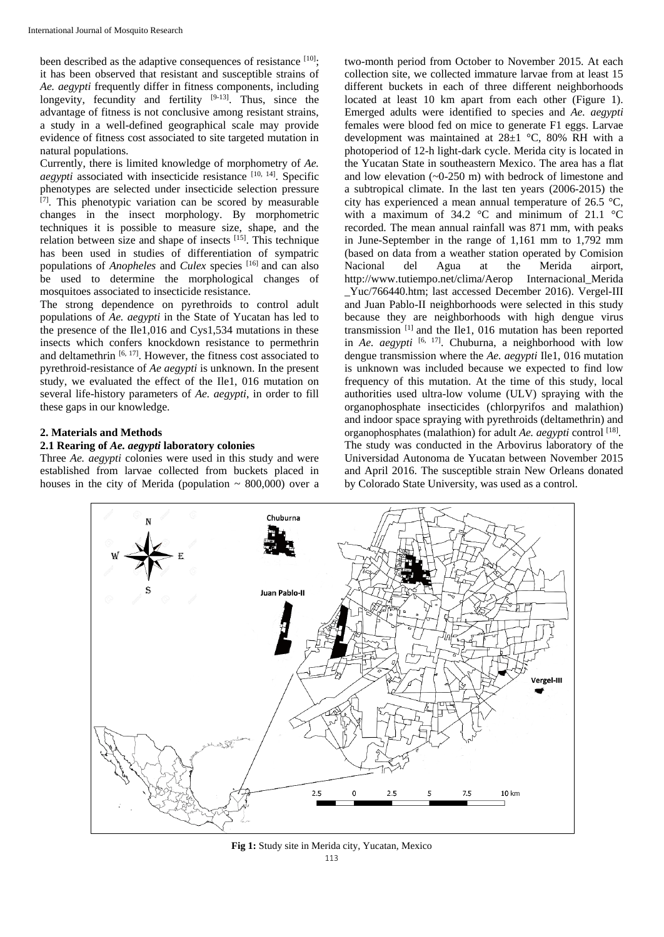been described as the adaptive consequences of resistance  $[10]$ ; it has been observed that resistant and susceptible strains of *Ae. aegypti* frequently differ in fitness components, including longevity, fecundity and fertility  $[9-13]$ . Thus, since the advantage of fitness is not conclusive among resistant strains, a study in a well-defined geographical scale may provide evidence of fitness cost associated to site targeted mutation in natural populations.

Currently, there is limited knowledge of morphometry of *Ae. aegypti* associated with insecticide resistance [10, 14]. Specific phenotypes are selected under insecticide selection pressure [7]. This phenotypic variation can be scored by measurable changes in the insect morphology. By morphometric techniques it is possible to measure size, shape, and the relation between size and shape of insects [15] . This technique has been used in studies of differentiation of sympatric populations of *Anopheles* and *Culex* species [16] and can also be used to determine the morphological changes of mosquitoes associated to insecticide resistance.

The strong dependence on pyrethroids to control adult populations of *Ae. aegypti* in the State of Yucatan has led to the presence of the Ile1,016 and Cys1,534 mutations in these insects which confers knockdown resistance to permethrin and deltamethrin  $[6, 17]$ . However, the fitness cost associated to pyrethroid-resistance of *Ae aegypti* is unknown. In the present study, we evaluated the effect of the Ile1, 016 mutation on several life-history parameters of *Ae. aegypti*, in order to fill these gaps in our knowledge.

## **2. Materials and Methods**

## **2.1 Rearing of** *Ae. aegypti* **laboratory colonies**

Three *Ae. aegypti* colonies were used in this study and were established from larvae collected from buckets placed in houses in the city of Merida (population  $\sim$  800,000) over a

two-month period from October to November 2015. At each collection site, we collected immature larvae from at least 15 different buckets in each of three different neighborhoods located at least 10 km apart from each other (Figure 1). Emerged adults were identified to species and *Ae. aegypti* females were blood fed on mice to generate F1 eggs. Larvae development was maintained at 28±1 °C, 80% RH with a photoperiod of 12-h light-dark cycle. Merida city is located in the Yucatan State in southeastern Mexico. The area has a flat and low elevation (~0-250 m) with bedrock of limestone and a subtropical climate. In the last ten years (2006-2015) the city has experienced a mean annual temperature of 26.5 °C, with a maximum of 34.2  $\degree$ C and minimum of 21.1  $\degree$ C recorded. The mean annual rainfall was 871 mm, with peaks in June-September in the range of 1,161 mm to 1,792 mm (based on data from a weather station operated by Comision Nacional del Agua at the Merida airport, http://www.tutiempo.net/clima/Aerop Internacional\_Merida Yuc/766440.htm; last accessed December 2016). Vergel-III and Juan Pablo-II neighborhoods were selected in this study because they are neighborhoods with high dengue virus transmission [1] and the Ile1, 016 mutation has been reported in *Ae. aegypti* [6, 17]. Chuburna, a neighborhood with low dengue transmission where the *Ae. aegypti* Ile1, 016 mutation is unknown was included because we expected to find low frequency of this mutation. At the time of this study, local authorities used ultra-low volume (ULV) spraying with the organophosphate insecticides (chlorpyrifos and malathion) and indoor space spraying with pyrethroids (deltamethrin) and organophosphates (malathion) for adult *Ae. aegypti* control [18]. The study was conducted in the Arbovirus laboratory of the Universidad Autonoma de Yucatan between November 2015 and April 2016. The susceptible strain New Orleans donated by Colorado State University, was used as a control.



**Fig 1:** Study site in Merida city, Yucatan, Mexico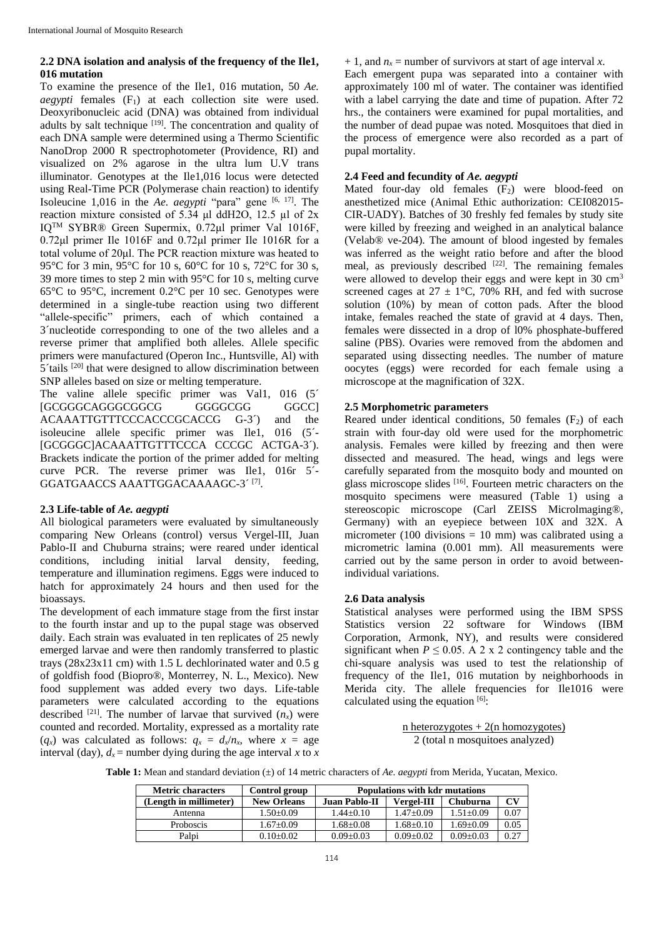# **2.2 DNA isolation and analysis of the frequency of the Ile1, 016 mutation**

To examine the presence of the Ile1, 016 mutation, 50 *Ae. aegypti* females  $(F_1)$  at each collection site were used. Deoxyribonucleic acid (DNA) was obtained from individual adults by salt technique <sup>[19]</sup>. The concentration and quality of each DNA sample were determined using a Thermo Scientific NanoDrop 2000 R spectrophotometer (Providence, RI) and visualized on 2% agarose in the ultra lum U.V trans illuminator. Genotypes at the Ile1,016 locus were detected using Real-Time PCR (Polymerase chain reaction) to identify Isoleucine 1,016 in the *Ae. aegypti* "para" gene <sup>[6, 17]</sup>. The reaction mixture consisted of  $5.34$  μl ddH2O, 12.5 μl of 2x IQTM SYBR® Green Supermix, 0.72μl primer Val 1016F, 0.72μl primer Ile 1016F and 0.72μl primer Ile 1016R for a total volume of 20μl. The PCR reaction mixture was heated to 95°C for 3 min, 95°C for 10 s, 60°C for 10 s, 72°C for 30 s, 39 more times to step 2 min with 95°C for 10 s, melting curve 65°C to 95°C, increment 0.2°C per 10 sec. Genotypes were determined in a single-tube reaction using two different "allele-specific" primers, each of which contained a 3´nucleotide corresponding to one of the two alleles and a reverse primer that amplified both alleles. Allele specific primers were manufactured (Operon Inc., Huntsville, Al) with  $5$ 'tails  $^{[20]}$  that were designed to allow discrimination between SNP alleles based on size or melting temperature.

The valine allele specific primer was Val1, 016 (5<sup> $\prime$ </sup> [GCGGGCAGGGCGGCG GGGGCGG GGCC] ACAAATTGTTTCCCACCCGCACCG G-3´) and the isoleucine allele specific primer was Ile1, 016 (5´- [GCGGGC]ACAAATTGTTTCCCA CCCGC ACTGA-3´). Brackets indicate the portion of the primer added for melting curve PCR. The reverse primer was Ile1, 016r 5´- GGATGAACCS AAATTGGACAAAAGC-3<sup>^[7]</sup>.

# **2.3 Life-table of** *Ae. aegypti*

All biological parameters were evaluated by simultaneously comparing New Orleans (control) versus Vergel-III, Juan Pablo-II and Chuburna strains; were reared under identical conditions, including initial larval density, feeding, temperature and illumination regimens. Eggs were induced to hatch for approximately 24 hours and then used for the bioassays.

The development of each immature stage from the first instar to the fourth instar and up to the pupal stage was observed daily. Each strain was evaluated in ten replicates of 25 newly emerged larvae and were then randomly transferred to plastic trays (28x23x11 cm) with 1.5 L dechlorinated water and 0.5 g of goldfish food (Biopro®, Monterrey, N. L., Mexico). New food supplement was added every two days. Life-table parameters were calculated according to the equations described <sup>[21]</sup>. The number of larvae that survived  $(n_x)$  were counted and recorded. Mortality, expressed as a mortality rate  $(q_x)$  was calculated as follows:  $q_x = d_x/n_x$ , where  $x = a$ ge interval (day),  $d_x$  = number dying during the age interval *x* to *x*   $+ 1$ , and  $n_x$  = number of survivors at start of age interval *x*.

Each emergent pupa was separated into a container with approximately 100 ml of water. The container was identified with a label carrying the date and time of pupation. After 72 hrs., the containers were examined for pupal mortalities, and the number of dead pupae was noted. Mosquitoes that died in the process of emergence were also recorded as a part of pupal mortality.

# **2.4 Feed and fecundity of** *Ae. aegypti*

Mated four-day old females  $(F_2)$  were blood-feed on anesthetized mice (Animal Ethic authorization: CEI082015- CIR-UADY). Batches of 30 freshly fed females by study site were killed by freezing and weighed in an analytical balance (Velab® ve-204). The amount of blood ingested by females was inferred as the weight ratio before and after the blood meal, as previously described  $[22]$ . The remaining females were allowed to develop their eggs and were kept in 30 cm<sup>3</sup> screened cages at  $27 \pm 1$ °C, 70% RH, and fed with sucrose solution (10%) by mean of cotton pads. After the blood intake, females reached the state of gravid at 4 days. Then, females were dissected in a drop of l0% phosphate-buffered saline (PBS). Ovaries were removed from the abdomen and separated using dissecting needles. The number of mature oocytes (eggs) were recorded for each female using a microscope at the magnification of 32X.

# **2.5 Morphometric parameters**

Reared under identical conditions, 50 females  $(F_2)$  of each strain with four-day old were used for the morphometric analysis. Females were killed by freezing and then were dissected and measured. The head, wings and legs were carefully separated from the mosquito body and mounted on glass microscope slides [16]. Fourteen metric characters on the mosquito specimens were measured (Table 1) using a stereoscopic microscope (Carl ZEISS Microlmaging®, Germany) with an eyepiece between 10X and 32X. A micrometer (100 divisions  $= 10$  mm) was calibrated using a micrometric lamina (0.001 mm). All measurements were carried out by the same person in order to avoid betweenindividual variations.

# **2.6 Data analysis**

Statistical analyses were performed using the IBM SPSS Statistics version 22 software for Windows (IBM Corporation, Armonk, NY), and results were considered significant when  $P \le 0.05$ . A 2 x 2 contingency table and the chi-square analysis was used to test the relationship of frequency of the Ile1, 016 mutation by neighborhoods in Merida city. The allele frequencies for Ile1016 were calculated using the equation  $[6]$ :

> n heterozygotes +  $2(n \text{ homozygotes})$ 2 (total n mosquitoes analyzed)

**Table 1:** Mean and standard deviation (±) of 14 metric characters of *Ae. aegypti* from Merida, Yucatan, Mexico.

| <b>Metric characters</b> | Control group      | <b>Populations with kdr mutations</b> |                   |                 |      |
|--------------------------|--------------------|---------------------------------------|-------------------|-----------------|------|
| (Length in millimeter)   | <b>New Orleans</b> | <b>Juan Pablo-II</b>                  | <b>Vergel-III</b> | Chuburna        | CV   |
| Antenna                  | $1.50+0.09$        | $1.44+0.10$                           | $1.47+0.09$       | $1.51 + 0.09$   | 0.07 |
| Proboscis                | $1.67 \pm 0.09$    | $1.68 \pm 0.08$                       | $1.68 + 0.10$     | $1.69+0.09$     | 0.05 |
| Palpi                    | $0.10\pm0.02$      | $0.09 \pm 0.03$                       | $0.09 \pm 0.02$   | $0.09 \pm 0.03$ | 0.27 |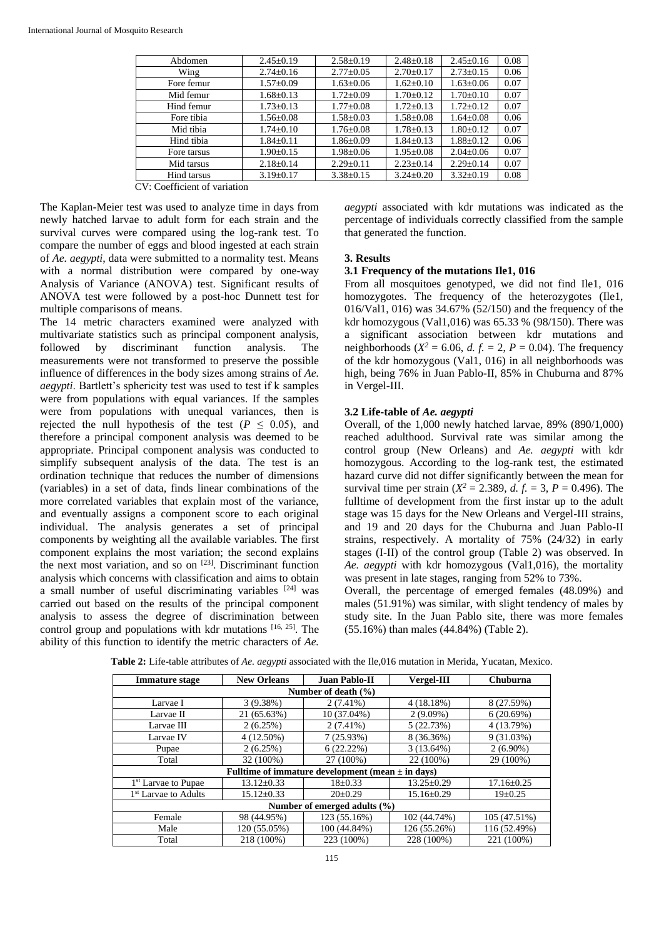| Abdomen     | $2.45 \pm 0.19$ | $2.58 \pm 0.19$ | $2.48 \pm 0.18$ | $2.45 \pm 0.16$ | 0.08 |
|-------------|-----------------|-----------------|-----------------|-----------------|------|
| Wing        | $2.74 \pm 0.16$ | $2.77 \pm 0.05$ | $2.70 \pm 0.17$ | $2.73 \pm 0.15$ | 0.06 |
| Fore femur  | $1.57 \pm 0.09$ | $1.63 \pm 0.06$ | $1.62 \pm 0.10$ | $1.63 \pm 0.06$ | 0.07 |
| Mid femur   | $1.68 \pm 0.13$ | $1.72 \pm 0.09$ | $1.70 \pm 0.12$ | $1.70 \pm 0.10$ | 0.07 |
| Hind femur  | $1.73 \pm 0.13$ | $1.77 \pm 0.08$ | $1.72 + 0.13$   | $1.72 + 0.12$   | 0.07 |
| Fore tibia  | $1.56 \pm 0.08$ | $1.58 + 0.03$   | $1.58 \pm 0.08$ | $1.64 \pm 0.08$ | 0.06 |
| Mid tibia   | $1.74 \pm 0.10$ | $1.76 \pm 0.08$ | $1.78 \pm 0.13$ | $1.80 \pm 0.12$ | 0.07 |
| Hind tibia  | $1.84 + 0.11$   | $1.86 + 0.09$   | $1.84 + 0.13$   | $1.88 + 0.12$   | 0.06 |
| Fore tarsus | $1.90 \pm 0.15$ | $1.98 \pm 0.06$ | $1.95 \pm 0.08$ | $2.04 \pm 0.06$ | 0.07 |
| Mid tarsus  | $2.18+0.14$     | $2.29+0.11$     | $2.23+0.14$     | $2.29+0.14$     | 0.07 |
| Hind tarsus | $3.19 \pm 0.17$ | $3.38 + 0.15$   | $3.24 \pm 0.20$ | $3.32+0.19$     | 0.08 |

CV: Coefficient of variation

The Kaplan-Meier test was used to analyze time in days from newly hatched larvae to adult form for each strain and the survival curves were compared using the log-rank test. To compare the number of eggs and blood ingested at each strain of *Ae. aegypti*, data were submitted to a normality test. Means with a normal distribution were compared by one-way Analysis of Variance (ANOVA) test. Significant results of ANOVA test were followed by a post-hoc Dunnett test for multiple comparisons of means.

The 14 metric characters examined were analyzed with multivariate statistics such as principal component analysis, followed by discriminant function analysis. The measurements were not transformed to preserve the possible influence of differences in the body sizes among strains of *Ae. aegypti*. Bartlett's sphericity test was used to test if k samples were from populations with equal variances. If the samples were from populations with unequal variances, then is rejected the null hypothesis of the test ( $P \leq 0.05$ ), and therefore a principal component analysis was deemed to be appropriate. Principal component analysis was conducted to simplify subsequent analysis of the data. The test is an ordination technique that reduces the number of dimensions (variables) in a set of data, finds linear combinations of the more correlated variables that explain most of the variance, and eventually assigns a component score to each original individual. The analysis generates a set of principal components by weighting all the available variables. The first component explains the most variation; the second explains the next most variation, and so on [23]. Discriminant function analysis which concerns with classification and aims to obtain a small number of useful discriminating variables  $[24]$  was carried out based on the results of the principal component analysis to assess the degree of discrimination between control group and populations with kdr mutations [16, 25]. The ability of this function to identify the metric characters of *Ae.* 

*aegypti* associated with kdr mutations was indicated as the percentage of individuals correctly classified from the sample that generated the function.

## **3. Results**

### **3.1 Frequency of the mutations Ile1, 016**

From all mosquitoes genotyped, we did not find Ile1, 016 homozygotes. The frequency of the heterozygotes (Ile1, 016/Val1, 016) was 34.67% (52/150) and the frequency of the kdr homozygous (Val1,016) was  $65.33$  % (98/150). There was a significant association between kdr mutations and neighborhoods ( $X^2 = 6.06$ , *d. f.* = 2, *P* = 0.04). The frequency of the kdr homozygous (Val1, 016) in all neighborhoods was high, being 76% in Juan Pablo-II, 85% in Chuburna and 87% in Vergel-III.

### **3.2 Life-table of** *Ae. aegypti*

Overall, of the 1,000 newly hatched larvae, 89% (890/1,000) reached adulthood. Survival rate was similar among the control group (New Orleans) and *Ae. aegypti* with kdr homozygous. According to the log-rank test, the estimated hazard curve did not differ significantly between the mean for survival time per strain ( $X^2 = 2.389$ , *d. f.* = 3, *P* = 0.496). The fulltime of development from the first instar up to the adult stage was 15 days for the New Orleans and Vergel-III strains, and 19 and 20 days for the Chuburna and Juan Pablo-II strains, respectively. A mortality of 75% (24/32) in early stages (I-II) of the control group (Table 2) was observed. In *Ae. aegypti* with kdr homozygous (Val1,016), the mortality was present in late stages, ranging from 52% to 73%.

Overall, the percentage of emerged females (48.09%) and males (51.91%) was similar, with slight tendency of males by study site. In the Juan Pablo site, there was more females (55.16%) than males (44.84%) (Table 2).

| <b>Immature stage</b>                                 | <b>New Orleans</b> | <b>Juan Pablo-II</b> | Vergel-III       | Chuburna         |  |  |
|-------------------------------------------------------|--------------------|----------------------|------------------|------------------|--|--|
| Number of death $(\% )$                               |                    |                      |                  |                  |  |  |
| Larvae I                                              | 3(9.38%)           | $2(7.41\%)$          | 4(18.18%)        | 8 (27.59%)       |  |  |
| Larvae II                                             | 21 (65.63%)        | 10 (37.04%)          | $2(9.09\%)$      | 6(20.69%)        |  |  |
| Larvae III                                            | 2(6.25%)           | $2(7.41\%)$          | 5(22.73%)        | 4 (13.79%)       |  |  |
| Larvae IV                                             | $4(12.50\%)$       | 7(25.93%)            | 8 (36.36%)       | $9(31.03\%)$     |  |  |
| Pupae                                                 | 2(6.25%)           | 6(22.22%)            | $3(13.64\%)$     | $2(6.90\%)$      |  |  |
| Total                                                 | 32 (100%)          | 27 (100%)            | 22 (100%)        | 29 (100%)        |  |  |
| Fulltime of immature development (mean $\pm$ in days) |                    |                      |                  |                  |  |  |
| 1 <sup>st</sup> Larvae to Pupae                       | $13.12 \pm 0.33$   | $18 \pm 0.33$        | $13.25 \pm 0.29$ | $17.16 \pm 0.25$ |  |  |
| 1 <sup>st</sup> Larvae to Adults                      | $15.12 \pm 0.33$   | $20+0.29$            | $15.16 \pm 0.29$ | $19 \pm 0.25$    |  |  |
| Number of emerged adults (%)                          |                    |                      |                  |                  |  |  |
| Female                                                | 98 (44.95%)        | 123 (55.16%)         | 102 (44.74%)     | 105(47.51%)      |  |  |
| Male                                                  | 120 (55.05%)       | 100 (44.84%)         | 126 (55.26%)     | 116 (52.49%)     |  |  |
| Total                                                 | 218 (100%)         | 223 (100%)           | 228 (100%)       | 221 (100%)       |  |  |

**Table 2:** Life-table attributes of *Ae. aegypti* associated with the Ile,016 mutation in Merida, Yucatan, Mexico.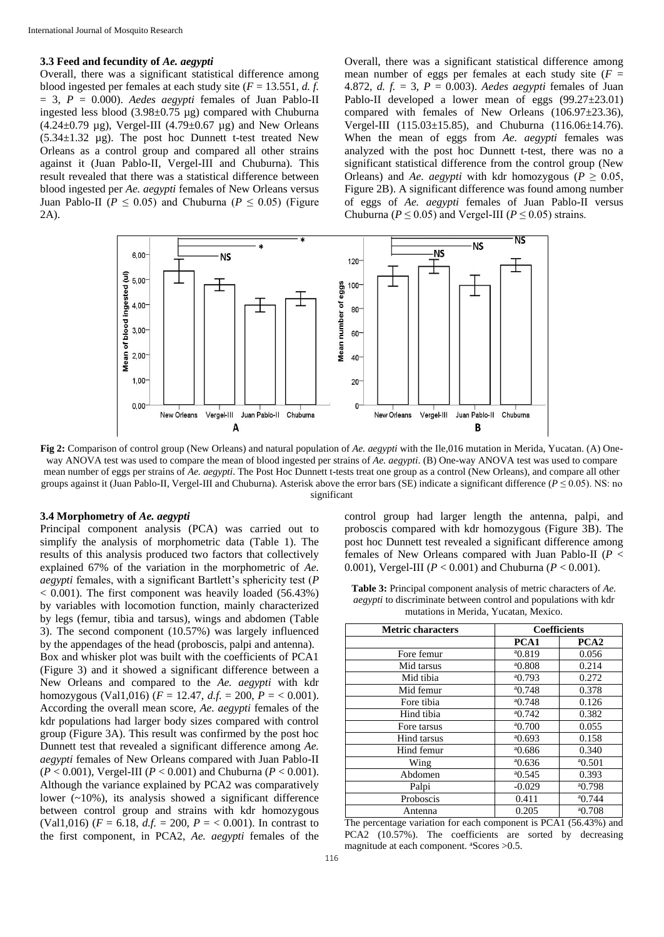#### **3.3 Feed and fecundity of** *Ae. aegypti*

Overall, there was a significant statistical difference among blood ingested per females at each study site (*F* = 13.551, *d. f.*  $= 3$ ,  $P = 0.000$ . *Aedes aegypti* females of Juan Pablo-II ingested less blood (3.98±0.75 µg) compared with Chuburna (4.24 $\pm$ 0.79 µg), Vergel-III (4.79 $\pm$ 0.67 µg) and New Orleans (5.34±1.32 µg). The post hoc Dunnett t-test treated New Orleans as a control group and compared all other strains against it (Juan Pablo-II, Vergel-III and Chuburna). This result revealed that there was a statistical difference between blood ingested per *Ae. aegypti* females of New Orleans versus Juan Pablo-II ( $P \leq 0.05$ ) and Chuburna ( $P \leq 0.05$ ) (Figure 2A).

Overall, there was a significant statistical difference among mean number of eggs per females at each study site  $(F =$ 4.872, *d. f.* = 3, *P* = 0.003). *Aedes aegypti* females of Juan Pablo-II developed a lower mean of eggs (99.27±23.01) compared with females of New Orleans (106.97±23.36), Vergel-III (115.03±15.85), and Chuburna (116.06±14.76). When the mean of eggs from *Ae. aegypti* females was analyzed with the post hoc Dunnett t-test, there was no a significant statistical difference from the control group (New Orleans) and *Ae. aegypti* with kdr homozygous ( $P \geq 0.05$ , Figure 2B). A significant difference was found among number of eggs of *Ae. aegypti* females of Juan Pablo-II versus Chuburna ( $P \le 0.05$ ) and Vergel-III ( $P \le 0.05$ ) strains.



**Fig 2:** Comparison of control group (New Orleans) and natural population of *Ae. aegypti* with the Ile,016 mutation in Merida, Yucatan. (A) Oneway ANOVA test was used to compare the mean of blood ingested per strains of *Ae. aegypti*. (B) One-way ANOVA test was used to compare mean number of eggs per strains of *Ae. aegypti*. The Post Hoc Dunnett t-tests treat one group as a control (New Orleans), and compare all other groups against it (Juan Pablo-II, Vergel-III and Chuburna). Asterisk above the error bars (SE) indicate a significant difference (*P* ≤ 0.05). NS: no significant

## **3.4 Morphometry of** *Ae. aegypti*

Principal component analysis (PCA) was carried out to simplify the analysis of morphometric data (Table 1). The results of this analysis produced two factors that collectively explained 67% of the variation in the morphometric of *Ae. aegypti* females, with a significant Bartlett's sphericity test (*P*  $< 0.001$ ). The first component was heavily loaded (56.43%) by variables with locomotion function, mainly characterized by legs (femur, tibia and tarsus), wings and abdomen (Table 3). The second component (10.57%) was largely influenced by the appendages of the head (proboscis, palpi and antenna). Box and whisker plot was built with the coefficients of PCA1 (Figure 3) and it showed a significant difference between a New Orleans and compared to the *Ae. aegypti* with kdr homozygous (Val1,016) ( $F = 12.47$ ,  $d.f. = 200$ ,  $P = < 0.001$ ). According the overall mean score, *Ae. aegypti* females of the kdr populations had larger body sizes compared with control group (Figure 3A). This result was confirmed by the post hoc Dunnett test that revealed a significant difference among *Ae. aegypti* females of New Orleans compared with Juan Pablo-II (*P* < 0.001), Vergel-III (*P* < 0.001) and Chuburna (*P* < 0.001). Although the variance explained by PCA2 was comparatively lower (~10%), its analysis showed a significant difference between control group and strains with kdr homozygous (Val1,016) ( $F = 6.18$ ,  $d.f. = 200$ ,  $P = 6.001$ ). In contrast to the first component, in PCA2, *Ae. aegypti* females of the

control group had larger length the antenna, palpi, and proboscis compared with kdr homozygous (Figure 3B). The post hoc Dunnett test revealed a significant difference among females of New Orleans compared with Juan Pablo-II (*P* < 0.001), Vergel-III (*P* < 0.001) and Chuburna (*P* < 0.001).

**Table 3:** Principal component analysis of metric characters of *Ae. aegypti* to discriminate between control and populations with kdr mutations in Merida, Yucatan, Mexico.

| Metric characters | <b>Coefficients</b> |                  |  |
|-------------------|---------------------|------------------|--|
|                   | PCA1                | PCA <sub>2</sub> |  |
| Fore femur        | $^{a}$ 0.819        | 0.056            |  |
| Mid tarsus        | $^{a}$ 0.808        | 0.214            |  |
| Mid tibia         | $^{a}$ 0.793        | 0.272            |  |
| Mid femur         | $^{a}$ 0.748        | 0.378            |  |
| Fore tibia        | $^{a}$ 0.748        | 0.126            |  |
| Hind tibia        | $^{a}$ 0.742        | 0.382            |  |
| Fore tarsus       | $^{a}$ 0.700        | 0.055            |  |
| Hind tarsus       | $^{a}$ 0.693        | 0.158            |  |
| Hind femur        | $^{a}$ 0.686        | 0.340            |  |
| Wing              | $^{a}$ 0.636        | $^{a}$ 0.501     |  |
| Abdomen           | $^{a}$ 0.545        | 0.393            |  |
| Palpi             | $-0.029$            | $^{a}$ 0.798     |  |
| Proboscis         | 0.411               | $^{a}$ 0.744     |  |
| Antenna           | 0.205               | $^{a}$ 0.708     |  |

The percentage variation for each component is PCA1 (56.43%) and PCA2 (10.57%). The coefficients are sorted by decreasing magnitude at each component. <sup>a</sup>Scores > 0.5.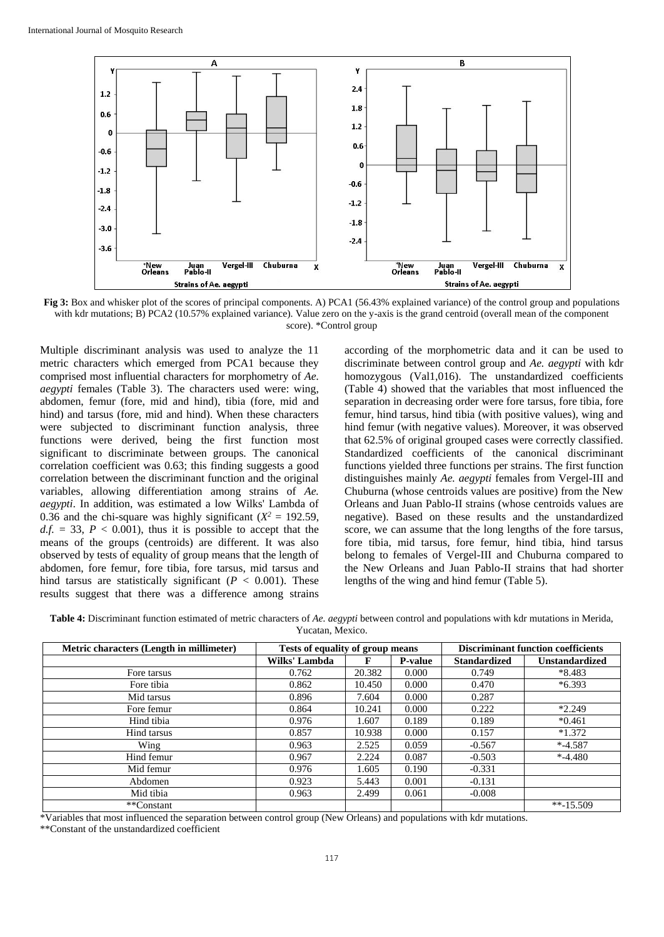

**Fig 3:** Box and whisker plot of the scores of principal components. A) PCA1 (56.43% explained variance) of the control group and populations with kdr mutations; B) PCA2 (10.57% explained variance). Value zero on the y-axis is the grand centroid (overall mean of the component score). \*Control group

Multiple discriminant analysis was used to analyze the 11 metric characters which emerged from PCA1 because they comprised most influential characters for morphometry of *Ae. aegypti* females (Table 3). The characters used were: wing, abdomen, femur (fore, mid and hind), tibia (fore, mid and hind) and tarsus (fore, mid and hind). When these characters were subjected to discriminant function analysis, three functions were derived, being the first function most significant to discriminate between groups. The canonical correlation coefficient was 0.63; this finding suggests a good correlation between the discriminant function and the original variables, allowing differentiation among strains of *Ae. aegypti*. In addition, was estimated a low Wilks' Lambda of 0.36 and the chi-square was highly significant  $(X^2 = 192.59)$ ,  $d.f. = 33$ ,  $P < 0.001$ ), thus it is possible to accept that the means of the groups (centroids) are different. It was also observed by tests of equality of group means that the length of abdomen, fore femur, fore tibia, fore tarsus, mid tarsus and hind tarsus are statistically significant ( $P < 0.001$ ). These results suggest that there was a difference among strains

according of the morphometric data and it can be used to discriminate between control group and *Ae. aegypti* with kdr homozygous (Val1,016). The unstandardized coefficients (Table 4) showed that the variables that most influenced the separation in decreasing order were fore tarsus, fore tibia, fore femur, hind tarsus, hind tibia (with positive values), wing and hind femur (with negative values). Moreover, it was observed that 62.5% of original grouped cases were correctly classified. Standardized coefficients of the canonical discriminant functions yielded three functions per strains. The first function distinguishes mainly *Ae. aegypti* females from Vergel-III and Chuburna (whose centroids values are positive) from the New Orleans and Juan Pablo-II strains (whose centroids values are negative). Based on these results and the unstandardized score, we can assume that the long lengths of the fore tarsus, fore tibia, mid tarsus, fore femur, hind tibia, hind tarsus belong to females of Vergel-III and Chuburna compared to the New Orleans and Juan Pablo-II strains that had shorter lengths of the wing and hind femur (Table 5).

**Table 4:** Discriminant function estimated of metric characters of *Ae. aegypti* between control and populations with kdr mutations in Merida, Yucatan, Mexico.

| Metric characters (Length in millimeter) | Tests of equality of group means |        |                | <b>Discriminant function coefficients</b> |                       |  |
|------------------------------------------|----------------------------------|--------|----------------|-------------------------------------------|-----------------------|--|
|                                          | Wilks' Lambda                    | F      | <b>P-value</b> | <b>Standardized</b>                       | <b>Unstandardized</b> |  |
| Fore tarsus                              | 0.762                            | 20.382 | 0.000          | 0.749                                     | $*8.483$              |  |
| Fore tibia                               | 0.862                            | 10.450 | 0.000          | 0.470                                     | $*6.393$              |  |
| Mid tarsus                               | 0.896                            | 7.604  | 0.000          | 0.287                                     |                       |  |
| Fore femur                               | 0.864                            | 10.241 | 0.000          | 0.222                                     | $*2.249$              |  |
| Hind tibia                               | 0.976                            | 1.607  | 0.189          | 0.189                                     | $*0.461$              |  |
| Hind tarsus                              | 0.857                            | 10.938 | 0.000          | 0.157                                     | $*1.372$              |  |
| Wing                                     | 0.963                            | 2.525  | 0.059          | $-0.567$                                  | $* -4.587$            |  |
| Hind femur                               | 0.967                            | 2.224  | 0.087          | $-0.503$                                  | $* -4.480$            |  |
| Mid femur                                | 0.976                            | 1.605  | 0.190          | $-0.331$                                  |                       |  |
| Abdomen                                  | 0.923                            | 5.443  | 0.001          | $-0.131$                                  |                       |  |
| Mid tibia                                | 0.963                            | 2.499  | 0.061          | $-0.008$                                  |                       |  |
| **Constant                               |                                  |        |                |                                           | $*$ - 15.509          |  |

\*Variables that most influenced the separation between control group (New Orleans) and populations with kdr mutations.

\*\*Constant of the unstandardized coefficient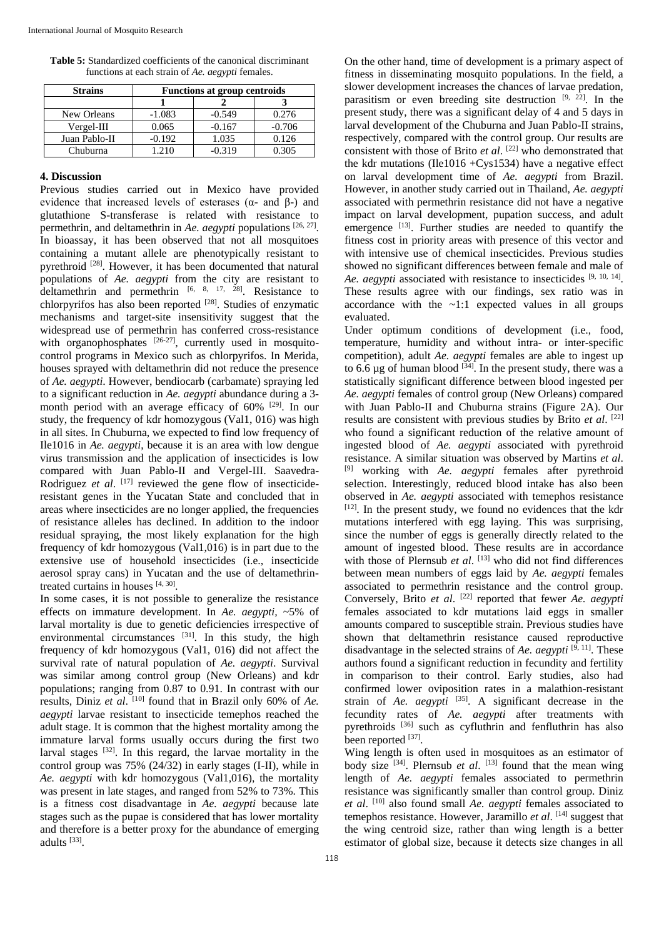| <b>Table 5:</b> Standardized coefficients of the canonical discriminant |  |
|-------------------------------------------------------------------------|--|
| functions at each strain of Ae. <i>aegypti</i> females.                 |  |

| <b>Strains</b> | <b>Functions at group centroids</b> |          |          |  |  |
|----------------|-------------------------------------|----------|----------|--|--|
|                |                                     |          |          |  |  |
| New Orleans    | $-1.083$                            | $-0.549$ | 0.276    |  |  |
| $Vergel-III$   | 0.065                               | $-0.167$ | $-0.706$ |  |  |
| Juan Pablo-II  | $-0.192$                            | 1.035    | 0.126    |  |  |
| Chuburna       | 1 210                               | -0.319   | ገ 305    |  |  |

## **4. Discussion**

Previous studies carried out in Mexico have provided evidence that increased levels of esterases  $(\alpha$ - and  $\beta$ -) and glutathione S-transferase is related with resistance to permethrin, and deltamethrin in *Ae. aegypti* populations [26, 27] . In bioassay, it has been observed that not all mosquitoes containing a mutant allele are phenotypically resistant to pyrethroid [28]. However, it has been documented that natural populations of *Ae. aegypti* from the city are resistant to deltamethrin and permethrin  $[6, 8, 17, 28]$ . Resistance to chlorpyrifos has also been reported [28]. Studies of enzymatic mechanisms and target-site insensitivity suggest that the widespread use of permethrin has conferred cross-resistance with organophosphates  $[26-27]$ , currently used in mosquitocontrol programs in Mexico such as chlorpyrifos. In Merida, houses sprayed with deltamethrin did not reduce the presence of *Ae. aegypti*. However, bendiocarb (carbamate) spraying led to a significant reduction in *Ae. aegypti* abundance during a 3 month period with an average efficacy of 60% [29]. In our study, the frequency of kdr homozygous (Val1, 016) was high in all sites. In Chuburna, we expected to find low frequency of Ile1016 in *Ae. aegypti*, because it is an area with low dengue virus transmission and the application of insecticides is low compared with Juan Pablo-II and Vergel-III. Saavedra-Rodriguez et al. [17] reviewed the gene flow of insecticideresistant genes in the Yucatan State and concluded that in areas where insecticides are no longer applied, the frequencies of resistance alleles has declined. In addition to the indoor residual spraying, the most likely explanation for the high frequency of kdr homozygous (Val1,016) is in part due to the extensive use of household insecticides (i.e., insecticide aerosol spray cans) in Yucatan and the use of deltamethrintreated curtains in houses [4, 30].

In some cases, it is not possible to generalize the resistance effects on immature development. In *Ae. aegypti,* ~5% of larval mortality is due to genetic deficiencies irrespective of environmental circumstances  $[31]$ . In this study, the high frequency of kdr homozygous (Val1, 016) did not affect the survival rate of natural population of *Ae. aegypti*. Survival was similar among control group (New Orleans) and kdr populations; ranging from 0.87 to 0.91. In contrast with our results, Diniz *et al.* <sup>[10]</sup> found that in Brazil only 60% of *Ae*. *aegypti* larvae resistant to insecticide temephos reached the adult stage. It is common that the highest mortality among the immature larval forms usually occurs during the first two larval stages [32]. In this regard, the larvae mortality in the control group was 75% (24/32) in early stages (I-II), while in *Ae. aegypti* with kdr homozygous (Val1,016), the mortality was present in late stages, and ranged from 52% to 73%. This is a fitness cost disadvantage in *Ae. aegypti* because late stages such as the pupae is considered that has lower mortality and therefore is a better proxy for the abundance of emerging adults<sup>[33]</sup>.

On the other hand, time of development is a primary aspect of fitness in disseminating mosquito populations. In the field, a slower development increases the chances of larvae predation, parasitism or even breeding site destruction  $[9, 22]$ . In the present study, there was a significant delay of 4 and 5 days in larval development of the Chuburna and Juan Pablo-II strains, respectively, compared with the control group. Our results are consistent with those of Brito *et al*. [22] who demonstrated that the kdr mutations (Ile1016 +Cys1534) have a negative effect on larval development time of *Ae. aegypti* from Brazil. However, in another study carried out in Thailand, *Ae. aegypti* associated with permethrin resistance did not have a negative impact on larval development, pupation success, and adult emergence [13]. Further studies are needed to quantify the fitness cost in priority areas with presence of this vector and with intensive use of chemical insecticides. Previous studies showed no significant differences between female and male of Ae. *aegypti* associated with resistance to insecticides <sup>[9, 10, 14].</sup> These results agree with our findings, sex ratio was in accordance with the  $\sim$ 1:1 expected values in all groups evaluated.

Under optimum conditions of development (i.e., food, temperature, humidity and without intra- or inter-specific competition), adult *Ae. aegypti* females are able to ingest up to 6.6  $\mu$ g of human blood  $^{[34]}$ . In the present study, there was a statistically significant difference between blood ingested per *Ae. aegypti* females of control group (New Orleans) compared with Juan Pablo-II and Chuburna strains (Figure 2A). Our results are consistent with previous studies by Brito *et al*. [22] who found a significant reduction of the relative amount of ingested blood of *Ae. aegypti* associated with pyrethroid resistance. A similar situation was observed by Martins *et al*. [9] working with *Ae. aegypti* females after pyrethroid selection. Interestingly, reduced blood intake has also been observed in *Ae. aegypti* associated with temephos resistance [12]. In the present study, we found no evidences that the kdr mutations interfered with egg laying. This was surprising, since the number of eggs is generally directly related to the amount of ingested blood. These results are in accordance with those of Plernsub et al. [13] who did not find differences between mean numbers of eggs laid by *Ae. aegypti* females associated to permethrin resistance and the control group. Conversely, Brito et al. <sup>[22]</sup> reported that fewer *Ae. aegypti* females associated to kdr mutations laid eggs in smaller amounts compared to susceptible strain. Previous studies have shown that deltamethrin resistance caused reproductive disadvantage in the selected strains of *Ae. aegypti* [9, 11]. These authors found a significant reduction in fecundity and fertility in comparison to their control. Early studies, also had confirmed lower oviposition rates in a malathion-resistant strain of *Ae. aegypti* [35]. A significant decrease in the fecundity rates of *Ae. aegypti* after treatments with pyrethroids [36] such as cyfluthrin and fenfluthrin has also been reported [37].

Wing length is often used in mosquitoes as an estimator of body size <sup>[34]</sup>. Plernsub *et al*. <sup>[13]</sup> found that the mean wing length of *Ae. aegypti* females associated to permethrin resistance was significantly smaller than control group. Diniz *et al*. [10] also found small *Ae. aegypti* females associated to temephos resistance. However, Jaramillo *et al*. [14] suggest that the wing centroid size, rather than wing length is a better estimator of global size, because it detects size changes in all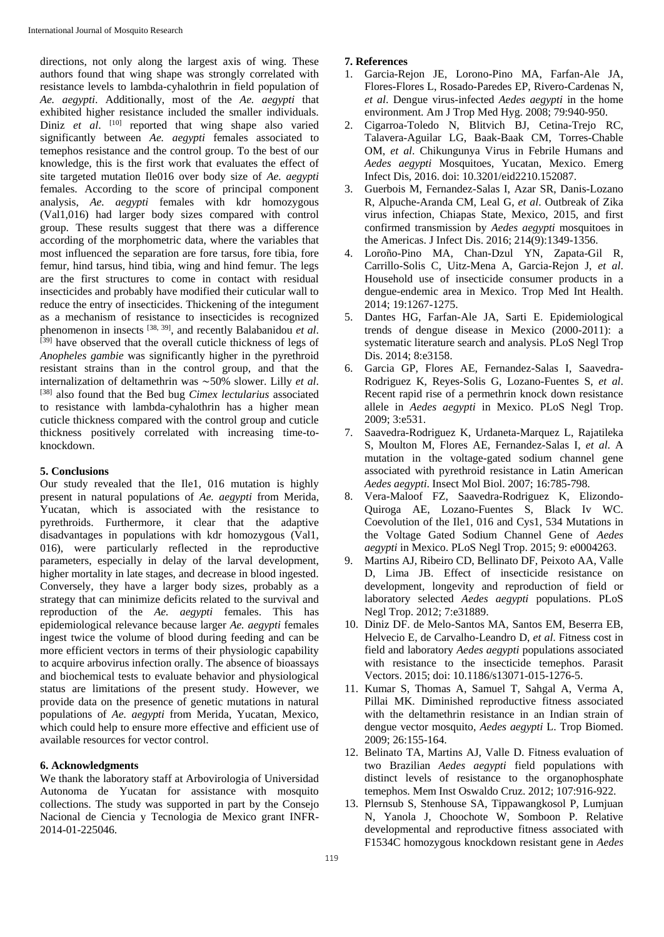directions, not only along the largest axis of wing. These authors found that wing shape was strongly correlated with resistance levels to lambda-cyhalothrin in field population of *Ae. aegypti*. Additionally, most of the *Ae. aegypti* that exhibited higher resistance included the smaller individuals. Diniz et al. <sup>[10]</sup> reported that wing shape also varied significantly between *Ae. aegypti* females associated to temephos resistance and the control group. To the best of our knowledge, this is the first work that evaluates the effect of site targeted mutation Ile016 over body size of *Ae. aegypti* females. According to the score of principal component analysis, *Ae. aegypti* females with kdr homozygous (Val1,016) had larger body sizes compared with control group. These results suggest that there was a difference according of the morphometric data, where the variables that most influenced the separation are fore tarsus, fore tibia, fore femur, hind tarsus, hind tibia, wing and hind femur. The legs are the first structures to come in contact with residual insecticides and probably have modified their cuticular wall to reduce the entry of insecticides. Thickening of the integument as a mechanism of resistance to insecticides is recognized phenomenon in insects [38, 39], and recently Balabanidou *et al*. [39] have observed that the overall cuticle thickness of legs of *Anopheles gambie* was significantly higher in the pyrethroid resistant strains than in the control group, and that the internalization of deltamethrin was ∼50% slower. Lilly *et al*. [38] also found that the Bed bug *Cimex lectularius* associated to resistance with lambda-cyhalothrin has a higher mean cuticle thickness compared with the control group and cuticle thickness positively correlated with increasing time-toknockdown.

## **5. Conclusions**

Our study revealed that the Ile1, 016 mutation is highly present in natural populations of *Ae. aegypti* from Merida, Yucatan, which is associated with the resistance to pyrethroids. Furthermore, it clear that the adaptive disadvantages in populations with kdr homozygous (Val1, 016), were particularly reflected in the reproductive parameters, especially in delay of the larval development, higher mortality in late stages, and decrease in blood ingested. Conversely, they have a larger body sizes, probably as a strategy that can minimize deficits related to the survival and reproduction of the *Ae. aegypti* females. This has epidemiological relevance because larger *Ae. aegypti* females ingest twice the volume of blood during feeding and can be more efficient vectors in terms of their physiologic capability to acquire arbovirus infection orally. The absence of bioassays and biochemical tests to evaluate behavior and physiological status are limitations of the present study. However, we provide data on the presence of genetic mutations in natural populations of *Ae. aegypti* from Merida, Yucatan, Mexico, which could help to ensure more effective and efficient use of available resources for vector control.

## **6. Acknowledgments**

We thank the laboratory staff at Arbovirologia of Universidad Autonoma de Yucatan for assistance with mosquito collections. The study was supported in part by the Consejo Nacional de Ciencia y Tecnologia de Mexico grant INFR-2014-01-225046.

## **7. References**

- 1. Garcia-Rejon JE, Lorono-Pino MA, Farfan-Ale JA, Flores-Flores L, Rosado-Paredes EP, Rivero-Cardenas N, *et al*. Dengue virus-infected *Aedes aegypti* in the home environment. Am J Trop Med Hyg. 2008; 79:940-950.
- 2. Cigarroa-Toledo N, Blitvich BJ, Cetina-Trejo RC, Talavera-Aguilar LG, Baak-Baak CM, Torres-Chable OM, *et al*. Chikungunya Virus in Febrile Humans and *Aedes aegypti* Mosquitoes, Yucatan, Mexico. Emerg Infect Dis, 2016. doi: 10.3201/eid2210.152087.
- 3. Guerbois M, Fernandez-Salas I, Azar SR, Danis-Lozano R, Alpuche-Aranda CM, Leal G, *et al*. Outbreak of Zika virus infection, Chiapas State, Mexico, 2015, and first confirmed transmission by *Aedes aegypti* mosquitoes in the Americas. J Infect Dis. 2016; 214(9):1349-1356.
- 4. Loroño-Pino MA, Chan-Dzul YN, Zapata-Gil R, Carrillo-Solis C, Uitz-Mena A, Garcia-Rejon J, *et al*. Household use of insecticide consumer products in a dengue-endemic area in Mexico. Trop Med Int Health. 2014; 19:1267-1275.
- 5. Dantes HG, Farfan-Ale JA, Sarti E. Epidemiological trends of dengue disease in Mexico (2000-2011): a systematic literature search and analysis. PLoS Negl Trop Dis. 2014; 8:e3158.
- 6. Garcia GP, Flores AE, Fernandez-Salas I, Saavedra-Rodriguez K, Reyes-Solis G, Lozano-Fuentes S, *et al*. Recent rapid rise of a permethrin knock down resistance allele in *Aedes aegypti* in Mexico. PLoS Negl Trop. 2009; 3:e531.
- 7. Saavedra-Rodriguez K, Urdaneta-Marquez L, Rajatileka S, Moulton M, Flores AE, Fernandez-Salas I, *et al*. A mutation in the voltage-gated sodium channel gene associated with pyrethroid resistance in Latin American *Aedes aegypti*. Insect Mol Biol. 2007; 16:785-798.
- 8. Vera-Maloof FZ, Saavedra-Rodriguez K, Elizondo-Quiroga AE, Lozano-Fuentes S, Black Iv WC. Coevolution of the Ile1, 016 and Cys1, 534 Mutations in the Voltage Gated Sodium Channel Gene of *Aedes aegypti* in Mexico. PLoS Negl Trop. 2015; 9: e0004263.
- 9. Martins AJ, Ribeiro CD, Bellinato DF, Peixoto AA, Valle D, Lima JB. Effect of insecticide resistance on development, longevity and reproduction of field or laboratory selected *Aedes aegypti* populations. PLoS Negl Trop. 2012; 7:e31889.
- 10. Diniz DF. de Melo-Santos MA, Santos EM, Beserra EB, Helvecio E, de Carvalho-Leandro D, *et al*. Fitness cost in field and laboratory *Aedes aegypti* populations associated with resistance to the insecticide temephos. Parasit Vectors. 2015; doi: 10.1186/s13071-015-1276-5.
- 11. Kumar S, Thomas A, Samuel T, Sahgal A, Verma A, Pillai MK. Diminished reproductive fitness associated with the deltamethrin resistance in an Indian strain of dengue vector mosquito, *Aedes aegypti* L. Trop Biomed. 2009; 26:155-164.
- 12. Belinato TA, Martins AJ, Valle D. Fitness evaluation of two Brazilian *Aedes aegypti* field populations with distinct levels of resistance to the organophosphate temephos. Mem Inst Oswaldo Cruz. 2012; 107:916-922.
- 13. Plernsub S, Stenhouse SA, Tippawangkosol P, Lumjuan N, Yanola J, Choochote W, Somboon P. Relative developmental and reproductive fitness associated with F1534C homozygous knockdown resistant gene in *Aedes*